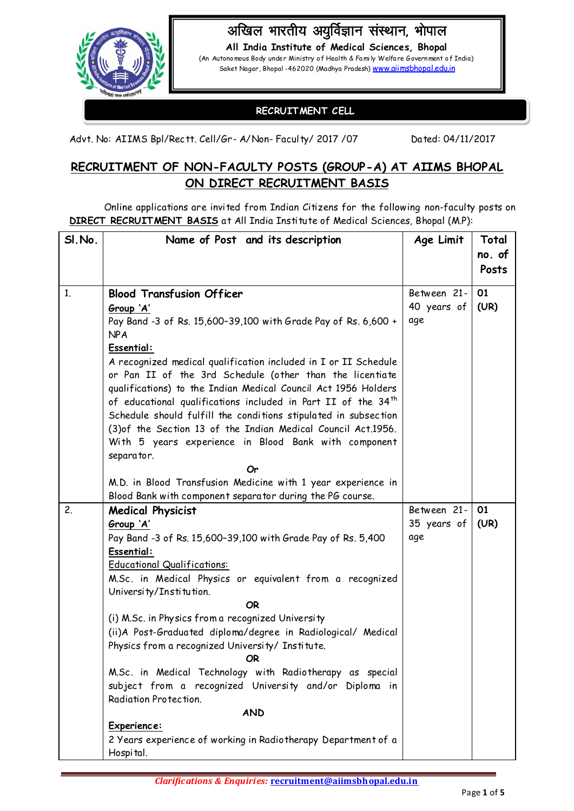

# अखिल भारतीय अयुर्विज्ञान संस्थान, भोपाल

**All India Institute of Medical Sciences, Bhopal** (An Autonomous Body under Ministry of Health & Fa mi ly Welfa re Government of India) Saket Nagar, Bhopal -462020 (Madhya Pradesh) [www.aiimsbhopal.edu.in](http://www.aiimsbhopal.edu.in/)

# **RECRUITMENT CELL**

Advt. No: AIIMS Bpl/Rectt. Cell/Gr- A/Non- Faculty/ 2017 / 07 Dated: 04/11/2017

# **RECRUITMENT OF NON-FACULTY POSTS (GROUP-A) AT AIIMS BHOPAL ON DIRECT RECRUITMENT BASIS**

Online applications are invited from Indian Citizens for the following non-faculty posts on **DIRECT RECRUITMENT BASIS** at All India Institute of Medical Sciences, Bhopal (M.P):

| SI.No.         | Name of Post and its description                                                                                                                                                                                                                                                                                                                                                                                                                                                                                                                           | Age Limit   | Total  |
|----------------|------------------------------------------------------------------------------------------------------------------------------------------------------------------------------------------------------------------------------------------------------------------------------------------------------------------------------------------------------------------------------------------------------------------------------------------------------------------------------------------------------------------------------------------------------------|-------------|--------|
|                |                                                                                                                                                                                                                                                                                                                                                                                                                                                                                                                                                            |             | no. of |
|                |                                                                                                                                                                                                                                                                                                                                                                                                                                                                                                                                                            |             | Posts  |
| 1 <sub>1</sub> | <b>Blood Transfusion Officer</b>                                                                                                                                                                                                                                                                                                                                                                                                                                                                                                                           | Between 21- | 01     |
|                | Group 'A'                                                                                                                                                                                                                                                                                                                                                                                                                                                                                                                                                  | 40 years of | (UR)   |
|                | Pay Band -3 of Rs. 15,600-39,100 with Grade Pay of Rs. 6,600 +<br><b>NPA</b>                                                                                                                                                                                                                                                                                                                                                                                                                                                                               | age         |        |
|                | Essential:                                                                                                                                                                                                                                                                                                                                                                                                                                                                                                                                                 |             |        |
|                | A recognized medical qualification included in I or II Schedule<br>or Pan II of the 3rd Schedule (other than the licentiate<br>qualifications) to the Indian Medical Council Act 1956 Holders<br>of educational qualifications included in Part II of the 34 <sup>th</sup><br>Schedule should fulfill the conditions stipulated in subsection<br>(3) of the Section 13 of the Indian Medical Council Act.1956.<br>With 5 years experience in Blood Bank with component<br>separator.<br>Or<br>M.D. in Blood Transfusion Medicine with 1 year experience in |             |        |
|                | Blood Bank with component separator during the PG course.                                                                                                                                                                                                                                                                                                                                                                                                                                                                                                  |             |        |
| 2.             | <b>Medical Physicist</b>                                                                                                                                                                                                                                                                                                                                                                                                                                                                                                                                   | Between 21- | 01     |
|                | Group 'A'                                                                                                                                                                                                                                                                                                                                                                                                                                                                                                                                                  | 35 years of | (UR)   |
|                | Pay Band -3 of Rs. 15,600-39,100 with Grade Pay of Rs. 5,400                                                                                                                                                                                                                                                                                                                                                                                                                                                                                               | age         |        |
|                | Essential:                                                                                                                                                                                                                                                                                                                                                                                                                                                                                                                                                 |             |        |
|                | <b>Educational Qualifications:</b>                                                                                                                                                                                                                                                                                                                                                                                                                                                                                                                         |             |        |
|                | M.Sc. in Medical Physics or equivalent from a recognized                                                                                                                                                                                                                                                                                                                                                                                                                                                                                                   |             |        |
|                | University/Institution.<br>OR                                                                                                                                                                                                                                                                                                                                                                                                                                                                                                                              |             |        |
|                | (i) M.Sc. in Physics from a recognized University                                                                                                                                                                                                                                                                                                                                                                                                                                                                                                          |             |        |
|                | (ii)A Post-Graduated diploma/degree in Radiological/ Medical                                                                                                                                                                                                                                                                                                                                                                                                                                                                                               |             |        |
|                | Physics from a recognized University/ Institute.<br><b>OR</b>                                                                                                                                                                                                                                                                                                                                                                                                                                                                                              |             |        |
|                | M.Sc. in Medical Technology with Radiotherapy as special<br>subject from a recognized University and/or Diploma in<br>Radiation Protection.                                                                                                                                                                                                                                                                                                                                                                                                                |             |        |
|                | <b>AND</b>                                                                                                                                                                                                                                                                                                                                                                                                                                                                                                                                                 |             |        |
|                | Experience:                                                                                                                                                                                                                                                                                                                                                                                                                                                                                                                                                |             |        |
|                | 2 Years experience of working in Radiotherapy Department of a<br>Hospital.                                                                                                                                                                                                                                                                                                                                                                                                                                                                                 |             |        |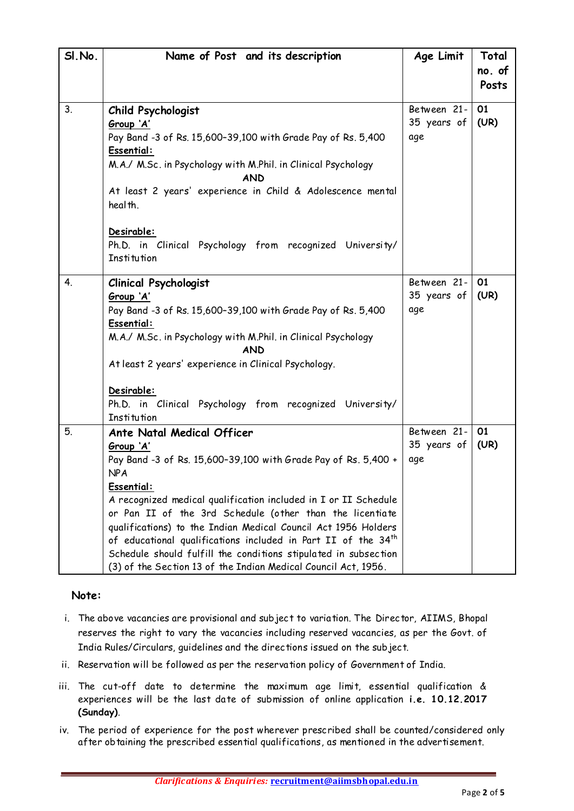| SI.No. | Name of Post and its description                                                                                                                                                                                                                                                                                                                                                                                                                                                                                                                         | Age Limit                         | Total<br>no. of<br>Posts |
|--------|----------------------------------------------------------------------------------------------------------------------------------------------------------------------------------------------------------------------------------------------------------------------------------------------------------------------------------------------------------------------------------------------------------------------------------------------------------------------------------------------------------------------------------------------------------|-----------------------------------|--------------------------|
| 3.     | Child Psychologist<br>Group 'A'<br>Pay Band -3 of Rs. 15,600-39,100 with Grade Pay of Rs. 5,400<br>Essential:<br>M.A./ M.Sc. in Psychology with M.Phil. in Clinical Psychology<br><b>AND</b><br>At least 2 years' experience in Child & Adolescence mental<br>heal th.<br>Desirable:<br>Ph.D. in Clinical Psychology from recognized University/<br><b>Institution</b>                                                                                                                                                                                   | Between 21-<br>35 years of<br>age | 01<br>(UR)               |
| 4.     | <b>Clinical Psychologist</b><br>Group 'A'<br>Pay Band -3 of Rs. 15,600-39,100 with Grade Pay of Rs. 5,400<br>Essential:<br>M.A./ M.Sc. in Psychology with M.Phil. in Clinical Psychology<br><b>AND</b><br>At least 2 years' experience in Clinical Psychology.<br>Desirable:<br>Ph.D. in Clinical Psychology from recognized University/<br><b>Institution</b>                                                                                                                                                                                           | Between 21-<br>35 years of<br>age | 01<br>(UR)               |
| 5.     | Ante Natal Medical Officer<br>Group 'A'<br>Pay Band -3 of Rs. 15,600-39,100 with Grade Pay of Rs. 5,400 +<br><b>NPA</b><br>Essential:<br>A recognized medical qualification included in I or II Schedule<br>or Pan II of the 3rd Schedule (other than the licentiate<br>qualifications) to the Indian Medical Council Act 1956 Holders<br>of educational qualifications included in Part II of the 34 <sup>th</sup><br>Schedule should fulfill the conditions stipulated in subsection<br>(3) of the Section 13 of the Indian Medical Council Act, 1956. | Between 21-<br>35 years of<br>age | 01<br>(UR)               |

## **Note:**

- i. The above vacancies are provisional and subject to variation. The Director, AIIMS, Bhopal reserves the right to vary the vacancies including reserved vacancies, as per the Govt. of India Rules/Circulars, guidelines and the directions issued on the subject.
- ii. Reservation will be followed as per the reservation policy of Government of India.
- iii. The cut-off date to determine the maximum age limit, essential qualification & experiences will be the last date of submission of online application **i.e. 10.12.2017 (Sunday)**.
- iv. The period of experience for the post wherever prescribed shall be counted/considered only after obtaining the prescribed essential qualifications, as mentioned in the advertisement.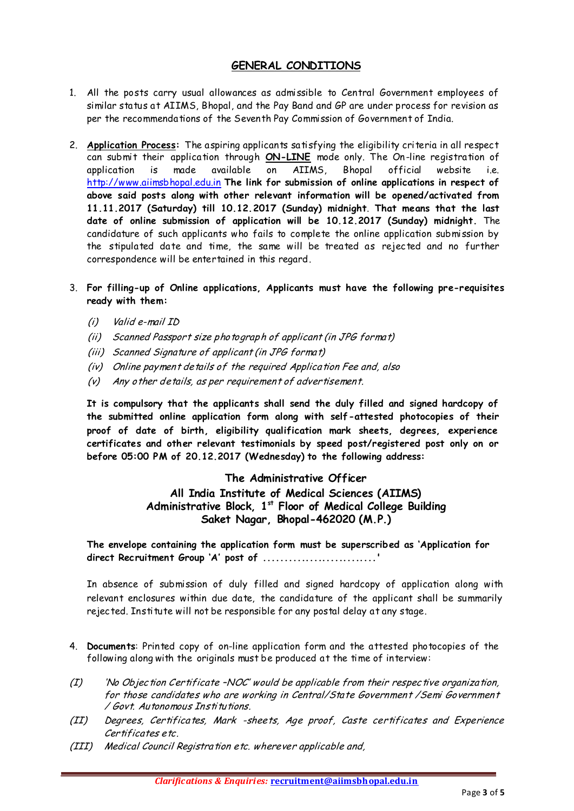## **GENERAL CONDITIONS**

- 1. All the posts carry usual allowances as admissible to Central Government employees of similar status at AIIMS, Bhopal, and the Pay Band and GP are under process for revision as per the recommendations of the Seventh Pay Commission of Government of India.
- 2. **Application Process:** The aspiring applicants satisfying the eligibility criteria in all respect can submit their application through **ON-LINE** mode only. The On-line registration of application is made available on AIIMS, Bhopal official website i.e. http://www.aiimsbhopal.edu.in **The link for submission of online applications in respect of above said posts along with other relevant information will be opened/activated from 11.11.2017 (Saturday) till 10.12.2017 (Sunday) midnight**. **That means that the last date of online submission of application will be 10.12.2017 (Sunday) midnight.** The candidature of such applicants who fails to complete the online application submission by the stipulated date and time, the same will be treated as rejected and no further correspondence will be entertained in this regard.
- 3. **For filling-up of Online applications, Applicants must have the following pre-requisites ready with them:** 
	- (i) Valid e-mail ID
	- (ii) Scanned Passport size photograph of applicant (in JPG format)
	- (iii) Scanned Signature of applicant (in JPG format)
	- (iv) Online payment details of the required Application Fee and, also
	- (v) Any other details, as per requirement of advertisement.

**It is compulsory that the applicants shall send the duly filled and signed hardcopy of the submitted online application form along with self-attested photocopies of their proof of date of birth, eligibility qualification mark sheets, degrees, experience**  certificates and other relevant testimonials by speed post/registered post only on or **before 05:00 PM of 20.12.2017 (Wednesday) to the following address:**

#### **The Administrative Officer**

**All India Institute of Medical Sciences (AIIMS) Administrative Block, 1st Floor of Medical College Building Saket Nagar, Bhopal-462020 (M.P.)**

**The envelope containing the application form must be superscribed as 'Application for direct Recruitment Group 'A' post of ...........................'**

In absence of submission of duly filled and signed hardcopy of application along with relevant enclosures within due date, the candidature of the applicant shall be summarily rejected. Institute will not be responsible for any postal delay at any stage.

- 4. **Documents**: Printed copy of on-line application form and the attested photocopies of the following along with the originals must be produced at the time of interview:
- $(I)$  'No Objection Certificate -NOC' would be applicable from their respective organization, for those candidates who are working in Central/State Government /Semi Government / Govt. Autonomous Institutions.
- (II) Degrees, Certificates, Mark -sheets, Age proof, Caste certificates and Experience Certificates etc.
- (III) Medical Council Registration etc. wherever applicable and,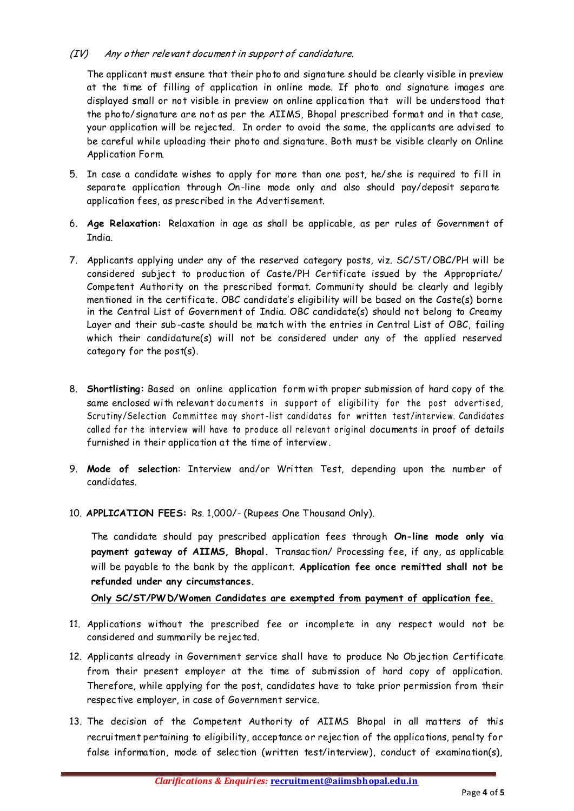#### (IV) Any other relevant document in support of candidature.

The applicant must ensure that their photo and signature should be clearly visible in preview at the time of filling of application in online mode. If photo and signature images are displayed small or not visible in preview on online application that will be understood that the photo/signature are not as per the AIIMS, Bhopal prescribed format and in that case, your application will be rejected. In order to avoid the same, the applicants are advised to be careful while uploading their photo and signature. Both must be visible clearly on Online Application Form.

- 5. In case a candidate wishes to apply for more than one post, he/she is required to fill in separate application through On-line mode only and also should pay/deposit separate application fees, as prescribed in the Advertisement.
- 6. **Age Relaxation:** Relaxation in age as shall be applicable, as per rules of Government of India.
- 7. Applicants applying under any of the reserved category posts, viz. SC/ST/OBC/PH will be considered subject to production of Caste/PH Certificate issued by the Appropriate/ Competent Authority on the prescribed format. Community should be clearly and legibly mentioned in the certificate. OBC candidate's eligibility will be based on the Caste(s) borne in the Central List of Government of India. OBC candidate(s) should not belong to Creamy Layer and their sub-caste should be match with the entries in Central List of OBC, failing which their candidature(s) will not be considered under any of the applied reserved category for the post(s).
- 8. **Shortlisting:** Based on online application form with proper submission of hard copy of the same enclosed with relevant do cuments in support of eligibility for the post advertised, Scrutiny/Selection Committee may short -list candidates for written test/interview. Candidates called for the interview will have to produce all relevant original documents in proof of details furnished in their application at the time of interview.
- 9. **Mode of selection**: Interview and/or Written Test, depending upon the number of candidates.
- 10. **APPLICATION FEES:** Rs. 1,000/- (Rupees One Thousand Only).

The candidate should pay prescribed application fees through **On-line mode only via payment gateway of AIIMS, Bhopal.** Transaction/ Processing fee, if any, as applicable will be payable to the bank by the applicant. **Application fee once remitted shall not be refunded under any circumstances.** 

**Only SC/ST/PWD/Women Candidates are exempted from payment of application fee.**

- 11. Applications without the prescribed fee or incomplete in any respect would not be considered and summarily be rejected.
- 12. Applicants already in Government service shall have to produce No Objection Certificate from their present employer at the time of submission of hard copy of application. Therefore, while applying for the post, candidates have to take prior permission from their respective employer, in case of Government service.
- 13. The decision of the Competent Authority of AIIMS Bhopal in all matters of this recruitment pertaining to eligibility, acceptance or rejection of the applications, penalty for false information, mode of selection (written test/interview), conduct of examination(s),